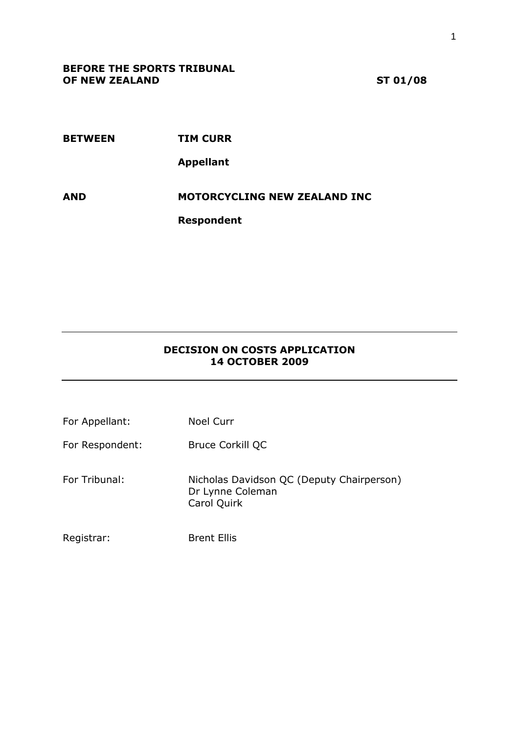**BETWEEN TIM CURR Appellant AND MOTORCYCLING NEW ZEALAND INC**

**Respondent**

## **DECISION ON COSTS APPLICATION 14 OCTOBER 2009**

| For Appellant:  | <b>Noel Curr</b>                                                             |
|-----------------|------------------------------------------------------------------------------|
| For Respondent: | Bruce Corkill QC                                                             |
| For Tribunal:   | Nicholas Davidson QC (Deputy Chairperson)<br>Dr Lynne Coleman<br>Carol Quirk |
| Registrar:      | <b>Brent Ellis</b>                                                           |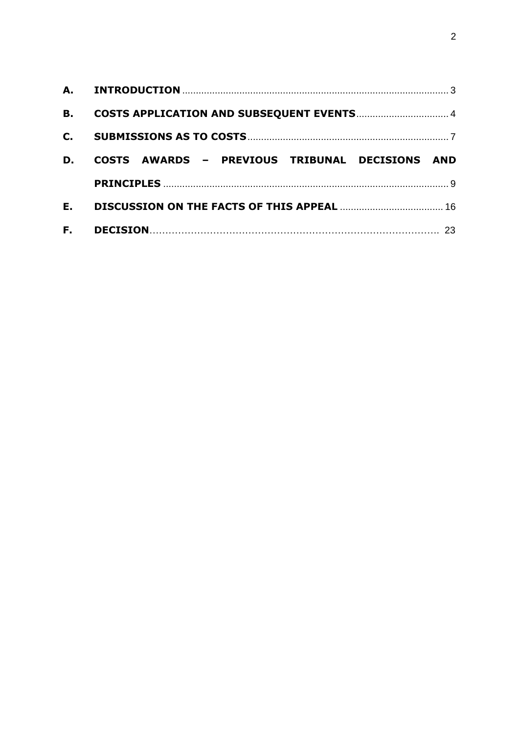| <b>B.</b>      |                                                          |
|----------------|----------------------------------------------------------|
| $\mathbf{C}$ . |                                                          |
| D.             | COSTS AWARDS - PREVIOUS TRIBUNAL DECISIONS<br><b>AND</b> |
|                |                                                          |
| Ε.             |                                                          |
| F.             |                                                          |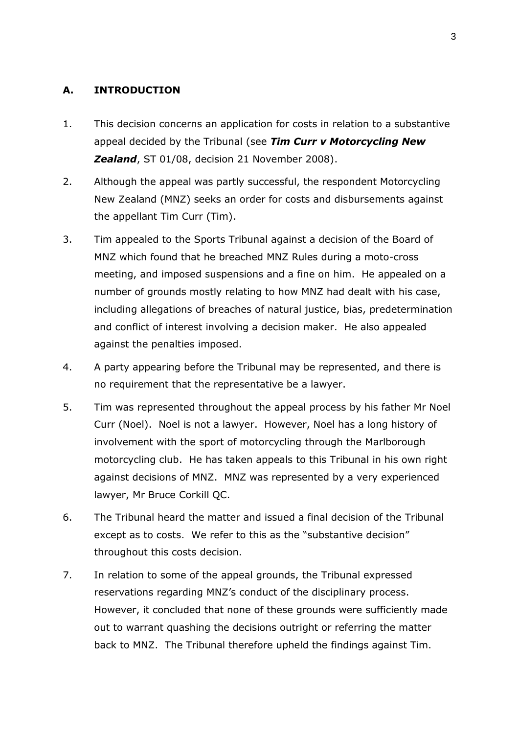## <span id="page-2-0"></span>**A. INTRODUCTION**

- 1. This decision concerns an application for costs in relation to a substantive appeal decided by the Tribunal (see *Tim Curr v Motorcycling New Zealand*, ST 01/08, decision 21 November 2008).
- 2. Although the appeal was partly successful, the respondent Motorcycling New Zealand (MNZ) seeks an order for costs and disbursements against the appellant Tim Curr (Tim).
- 3. Tim appealed to the Sports Tribunal against a decision of the Board of MNZ which found that he breached MNZ Rules during a moto-cross meeting, and imposed suspensions and a fine on him. He appealed on a number of grounds mostly relating to how MNZ had dealt with his case, including allegations of breaches of natural justice, bias, predetermination and conflict of interest involving a decision maker. He also appealed against the penalties imposed.
- 4. A party appearing before the Tribunal may be represented, and there is no requirement that the representative be a lawyer.
- 5. Tim was represented throughout the appeal process by his father Mr Noel Curr (Noel). Noel is not a lawyer. However, Noel has a long history of involvement with the sport of motorcycling through the Marlborough motorcycling club. He has taken appeals to this Tribunal in his own right against decisions of MNZ. MNZ was represented by a very experienced lawyer, Mr Bruce Corkill QC.
- 6. The Tribunal heard the matter and issued a final decision of the Tribunal except as to costs. We refer to this as the "substantive decision" throughout this costs decision.
- 7. In relation to some of the appeal grounds, the Tribunal expressed reservations regarding MNZ's conduct of the disciplinary process. However, it concluded that none of these grounds were sufficiently made out to warrant quashing the decisions outright or referring the matter back to MNZ. The Tribunal therefore upheld the findings against Tim.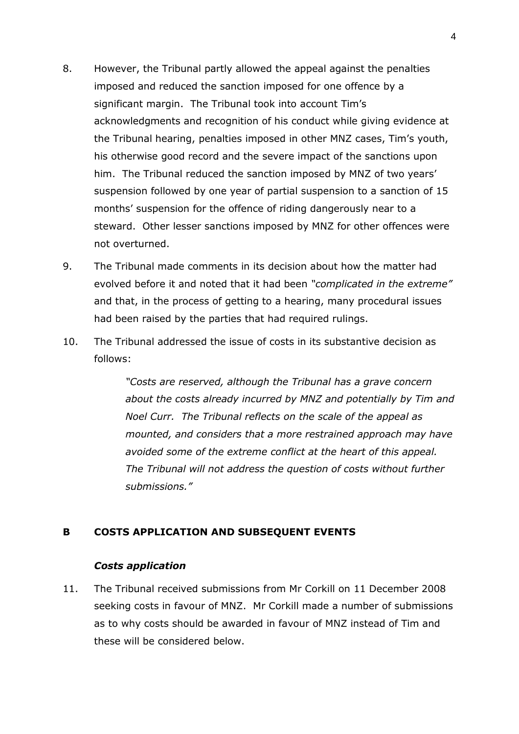- 8. However, the Tribunal partly allowed the appeal against the penalties imposed and reduced the sanction imposed for one offence by a significant margin. The Tribunal took into account Tim's acknowledgments and recognition of his conduct while giving evidence at the Tribunal hearing, penalties imposed in other MNZ cases, Tim's youth, his otherwise good record and the severe impact of the sanctions upon him. The Tribunal reduced the sanction imposed by MNZ of two years' suspension followed by one year of partial suspension to a sanction of 15 months' suspension for the offence of riding dangerously near to a steward. Other lesser sanctions imposed by MNZ for other offences were not overturned.
- 9. The Tribunal made comments in its decision about how the matter had evolved before it and noted that it had been *"complicated in the extreme"* and that, in the process of getting to a hearing, many procedural issues had been raised by the parties that had required rulings.
- 10. The Tribunal addressed the issue of costs in its substantive decision as follows:

*"Costs are reserved, although the Tribunal has a grave concern about the costs already incurred by MNZ and potentially by Tim and Noel Curr. The Tribunal reflects on the scale of the appeal as mounted, and considers that a more restrained approach may have avoided some of the extreme conflict at the heart of this appeal. The Tribunal will not address the question of costs without further submissions."*

## <span id="page-3-0"></span>**B COSTS APPLICATION AND SUBSEQUENT EVENTS**

#### *Costs application*

11. The Tribunal received submissions from Mr Corkill on 11 December 2008 seeking costs in favour of MNZ. Mr Corkill made a number of submissions as to why costs should be awarded in favour of MNZ instead of Tim and these will be considered below.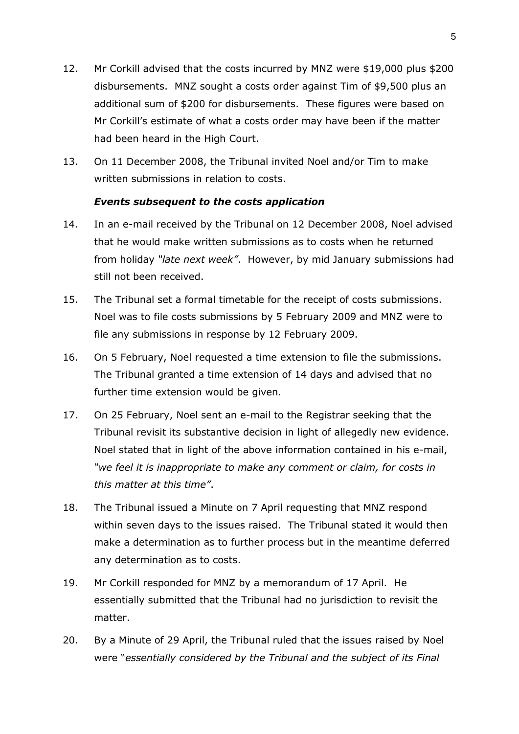- 12. Mr Corkill advised that the costs incurred by MNZ were \$19,000 plus \$200 disbursements. MNZ sought a costs order against Tim of \$9,500 plus an additional sum of \$200 for disbursements. These figures were based on Mr Corkill's estimate of what a costs order may have been if the matter had been heard in the High Court.
- 13. On 11 December 2008, the Tribunal invited Noel and/or Tim to make written submissions in relation to costs.

## *Events subsequent to the costs application*

- 14. In an e-mail received by the Tribunal on 12 December 2008, Noel advised that he would make written submissions as to costs when he returned from holiday *"late next week"*. However, by mid January submissions had still not been received.
- 15. The Tribunal set a formal timetable for the receipt of costs submissions. Noel was to file costs submissions by 5 February 2009 and MNZ were to file any submissions in response by 12 February 2009.
- 16. On 5 February, Noel requested a time extension to file the submissions. The Tribunal granted a time extension of 14 days and advised that no further time extension would be given.
- 17. On 25 February, Noel sent an e-mail to the Registrar seeking that the Tribunal revisit its substantive decision in light of allegedly new evidence. Noel stated that in light of the above information contained in his e-mail, *"we feel it is inappropriate to make any comment or claim, for costs in this matter at this time"*.
- 18. The Tribunal issued a Minute on 7 April requesting that MNZ respond within seven days to the issues raised. The Tribunal stated it would then make a determination as to further process but in the meantime deferred any determination as to costs.
- 19. Mr Corkill responded for MNZ by a memorandum of 17 April. He essentially submitted that the Tribunal had no jurisdiction to revisit the matter.
- 20. By a Minute of 29 April, the Tribunal ruled that the issues raised by Noel were "*essentially considered by the Tribunal and the subject of its Final*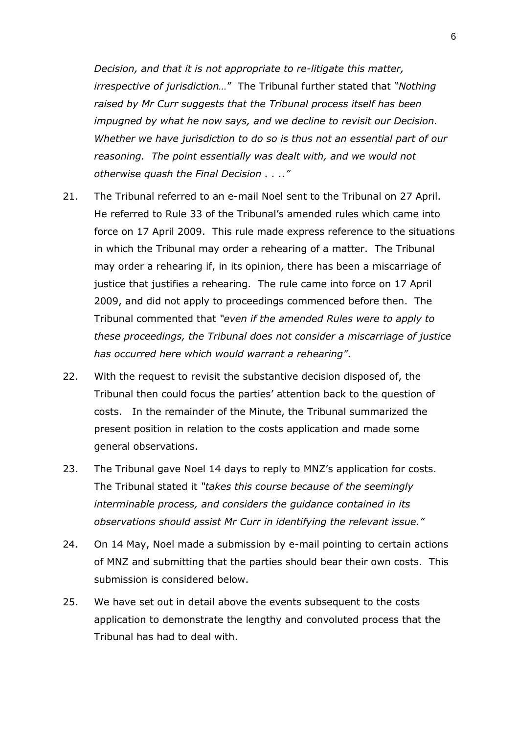*Decision, and that it is not appropriate to re-litigate this matter, irrespective of jurisdiction…*" The Tribunal further stated that *"Nothing raised by Mr Curr suggests that the Tribunal process itself has been impugned by what he now says, and we decline to revisit our Decision. Whether we have jurisdiction to do so is thus not an essential part of our reasoning. The point essentially was dealt with, and we would not otherwise quash the Final Decision . . .."* 

- 21. The Tribunal referred to an e-mail Noel sent to the Tribunal on 27 April. He referred to Rule 33 of the Tribunal's amended rules which came into force on 17 April 2009. This rule made express reference to the situations in which the Tribunal may order a rehearing of a matter. The Tribunal may order a rehearing if, in its opinion, there has been a miscarriage of justice that justifies a rehearing. The rule came into force on 17 April 2009, and did not apply to proceedings commenced before then. The Tribunal commented that *"even if the amended Rules were to apply to these proceedings, the Tribunal does not consider a miscarriage of justice has occurred here which would warrant a rehearing"*.
- 22. With the request to revisit the substantive decision disposed of, the Tribunal then could focus the parties' attention back to the question of costs. In the remainder of the Minute, the Tribunal summarized the present position in relation to the costs application and made some general observations.
- 23. The Tribunal gave Noel 14 days to reply to MNZ's application for costs. The Tribunal stated it *"takes this course because of the seemingly interminable process, and considers the guidance contained in its observations should assist Mr Curr in identifying the relevant issue."*
- 24. On 14 May, Noel made a submission by e-mail pointing to certain actions of MNZ and submitting that the parties should bear their own costs. This submission is considered below.
- 25. We have set out in detail above the events subsequent to the costs application to demonstrate the lengthy and convoluted process that the Tribunal has had to deal with.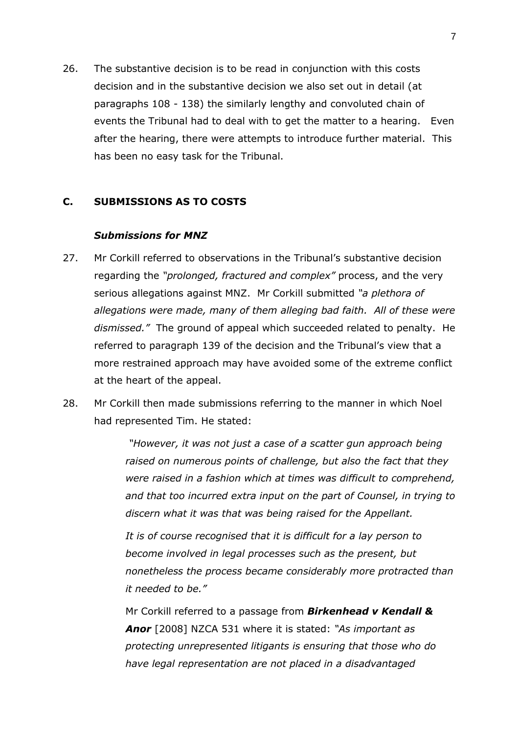26. The substantive decision is to be read in conjunction with this costs decision and in the substantive decision we also set out in detail (at paragraphs 108 - 138) the similarly lengthy and convoluted chain of events the Tribunal had to deal with to get the matter to a hearing. Even after the hearing, there were attempts to introduce further material. This has been no easy task for the Tribunal.

## <span id="page-6-0"></span>**C. SUBMISSIONS AS TO COSTS**

#### *Submissions for MNZ*

- 27. Mr Corkill referred to observations in the Tribunal's substantive decision regarding the *"prolonged, fractured and complex"* process, and the very serious allegations against MNZ. Mr Corkill submitted *"a plethora of allegations were made, many of them alleging bad faith. All of these were dismissed."* The ground of appeal which succeeded related to penalty. He referred to paragraph 139 of the decision and the Tribunal's view that a more restrained approach may have avoided some of the extreme conflict at the heart of the appeal.
- 28. Mr Corkill then made submissions referring to the manner in which Noel had represented Tim. He stated:

*"However, it was not just a case of a scatter gun approach being raised on numerous points of challenge, but also the fact that they were raised in a fashion which at times was difficult to comprehend, and that too incurred extra input on the part of Counsel, in trying to discern what it was that was being raised for the Appellant.*

*It is of course recognised that it is difficult for a lay person to become involved in legal processes such as the present, but nonetheless the process became considerably more protracted than it needed to be."* 

Mr Corkill referred to a passage from *Birkenhead v Kendall & Anor* [2008] NZCA 531 where it is stated: *"As important as protecting unrepresented litigants is ensuring that those who do have legal representation are not placed in a disadvantaged*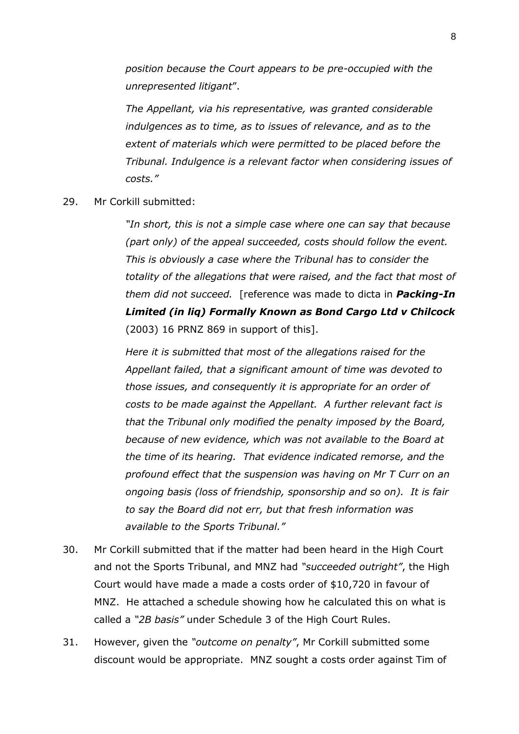*position because the Court appears to be pre-occupied with the unrepresented litigant*".

*The Appellant, via his representative, was granted considerable indulgences as to time, as to issues of relevance, and as to the extent of materials which were permitted to be placed before the Tribunal. Indulgence is a relevant factor when considering issues of costs."*

## 29. Mr Corkill submitted:

*"In short, this is not a simple case where one can say that because (part only) of the appeal succeeded, costs should follow the event. This is obviously a case where the Tribunal has to consider the totality of the allegations that were raised, and the fact that most of them did not succeed.* [reference was made to dicta in *Packing-In Limited (in liq) Formally Known as Bond Cargo Ltd v Chilcock* (2003) 16 PRNZ 869 in support of this].

*Here it is submitted that most of the allegations raised for the Appellant failed, that a significant amount of time was devoted to those issues, and consequently it is appropriate for an order of costs to be made against the Appellant. A further relevant fact is that the Tribunal only modified the penalty imposed by the Board, because of new evidence, which was not available to the Board at the time of its hearing. That evidence indicated remorse, and the profound effect that the suspension was having on Mr T Curr on an ongoing basis (loss of friendship, sponsorship and so on). It is fair to say the Board did not err, but that fresh information was available to the Sports Tribunal."*

- 30. Mr Corkill submitted that if the matter had been heard in the High Court and not the Sports Tribunal, and MNZ had *"succeeded outright"*, the High Court would have made a made a costs order of \$10,720 in favour of MNZ. He attached a schedule showing how he calculated this on what is called a *"2B basis"* under Schedule 3 of the High Court Rules.
- 31. However, given the *"outcome on penalty"*, Mr Corkill submitted some discount would be appropriate. MNZ sought a costs order against Tim of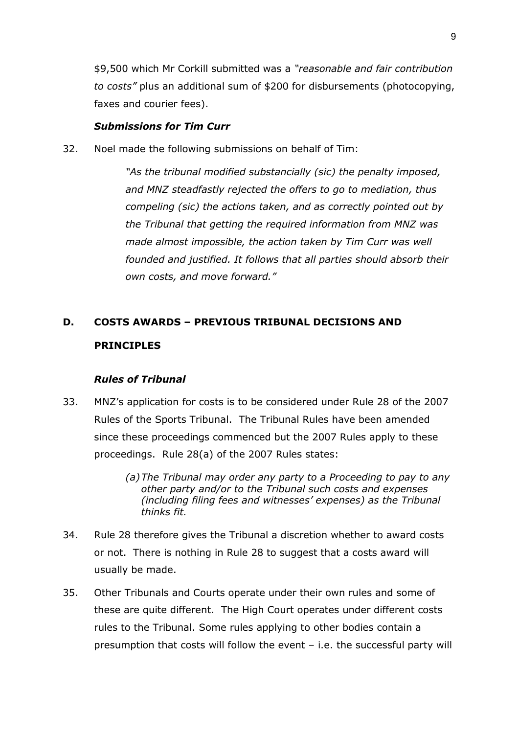\$9,500 which Mr Corkill submitted was a *"reasonable and fair contribution to costs"* plus an additional sum of \$200 for disbursements (photocopying, faxes and courier fees).

#### *Submissions for Tim Curr*

32. Noel made the following submissions on behalf of Tim:

*"As the tribunal modified substancially (sic) the penalty imposed, and MNZ steadfastly rejected the offers to go to mediation, thus compeling (sic) the actions taken, and as correctly pointed out by the Tribunal that getting the required information from MNZ was made almost impossible, the action taken by Tim Curr was well founded and justified. It follows that all parties should absorb their own costs, and move forward."*

# <span id="page-8-0"></span>**D. COSTS AWARDS – PREVIOUS TRIBUNAL DECISIONS AND PRINCIPLES**

#### *Rules of Tribunal*

- 33. MNZ's application for costs is to be considered under Rule 28 of the 2007 Rules of the Sports Tribunal. The Tribunal Rules have been amended since these proceedings commenced but the 2007 Rules apply to these proceedings. Rule 28(a) of the 2007 Rules states:
	- *(a)The Tribunal may order any party to a Proceeding to pay to any other party and/or to the Tribunal such costs and expenses (including filing fees and witnesses' expenses) as the Tribunal thinks fit.*
- 34. Rule 28 therefore gives the Tribunal a discretion whether to award costs or not.There is nothing in Rule 28 to suggest that a costs award will usually be made.
- 35. Other Tribunals and Courts operate under their own rules and some of these are quite different. The High Court operates under different costs rules to the Tribunal. Some rules applying to other bodies contain a presumption that costs will follow the event – i.e. the successful party will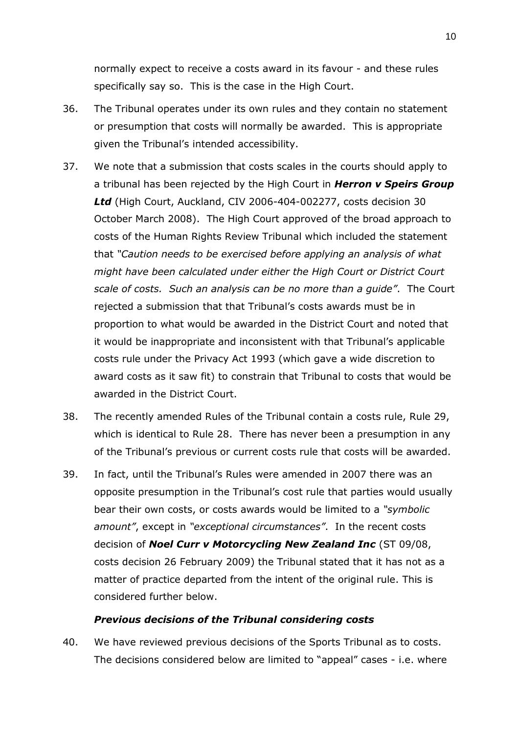normally expect to receive a costs award in its favour - and these rules specifically say so. This is the case in the High Court.

- 36. The Tribunal operates under its own rules and they contain no statement or presumption that costs will normally be awarded. This is appropriate given the Tribunal's intended accessibility.
- 37. We note that a submission that costs scales in the courts should apply to a tribunal has been rejected by the High Court in *Herron v Speirs Group Ltd* (High Court, Auckland, CIV 2006-404-002277, costs decision 30 October March 2008). The High Court approved of the broad approach to costs of the Human Rights Review Tribunal which included the statement that *"Caution needs to be exercised before applying an analysis of what might have been calculated under either the High Court or District Court scale of costs. Such an analysis can be no more than a guide"*. The Court rejected a submission that that Tribunal's costs awards must be in proportion to what would be awarded in the District Court and noted that it would be inappropriate and inconsistent with that Tribunal's applicable costs rule under the Privacy Act 1993 (which gave a wide discretion to award costs as it saw fit) to constrain that Tribunal to costs that would be awarded in the District Court.
- 38. The recently amended Rules of the Tribunal contain a costs rule, Rule 29, which is identical to Rule 28. There has never been a presumption in any of the Tribunal's previous or current costs rule that costs will be awarded.
- 39. In fact, until the Tribunal's Rules were amended in 2007 there was an opposite presumption in the Tribunal's cost rule that parties would usually bear their own costs, or costs awards would be limited to a *"symbolic amount"*, except in *"exceptional circumstances"*. In the recent costs decision of *Noel Curr v Motorcycling New Zealand Inc* (ST 09/08, costs decision 26 February 2009) the Tribunal stated that it has not as a matter of practice departed from the intent of the original rule. This is considered further below.

## *Previous decisions of the Tribunal considering costs*

40. We have reviewed previous decisions of the Sports Tribunal as to costs. The decisions considered below are limited to "appeal" cases - i.e. where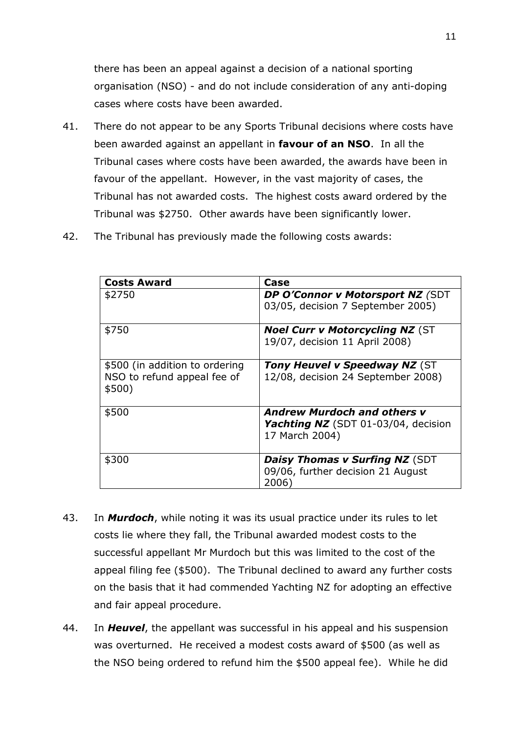there has been an appeal against a decision of a national sporting organisation (NSO) - and do not include consideration of any anti-doping cases where costs have been awarded.

- 41. There do not appear to be any Sports Tribunal decisions where costs have been awarded against an appellant in **favour of an NSO**. In all the Tribunal cases where costs have been awarded, the awards have been in favour of the appellant. However, in the vast majority of cases, the Tribunal has not awarded costs. The highest costs award ordered by the Tribunal was \$2750. Other awards have been significantly lower.
- 42. The Tribunal has previously made the following costs awards:

| <b>Costs Award</b>                                                      | Case                                                                                               |
|-------------------------------------------------------------------------|----------------------------------------------------------------------------------------------------|
| \$2750                                                                  | DP O'Connor v Motorsport NZ (SDT<br>03/05, decision 7 September 2005)                              |
| \$750                                                                   | <b>Noel Curr v Motorcycling NZ (ST</b><br>19/07, decision 11 April 2008)                           |
| \$500 (in addition to ordering<br>NSO to refund appeal fee of<br>\$500) | Tony Heuvel v Speedway NZ (ST<br>12/08, decision 24 September 2008)                                |
| \$500                                                                   | <b>Andrew Murdoch and others v</b><br><b>Yachting NZ</b> (SDT 01-03/04, decision<br>17 March 2004) |
| \$300                                                                   | <b>Daisy Thomas v Surfing NZ (SDT</b><br>09/06, further decision 21 August<br>2006)                |

- 43. In *Murdoch*, while noting it was its usual practice under its rules to let costs lie where they fall, the Tribunal awarded modest costs to the successful appellant Mr Murdoch but this was limited to the cost of the appeal filing fee (\$500). The Tribunal declined to award any further costs on the basis that it had commended Yachting NZ for adopting an effective and fair appeal procedure.
- 44. In *Heuvel*, the appellant was successful in his appeal and his suspension was overturned. He received a modest costs award of \$500 (as well as the NSO being ordered to refund him the \$500 appeal fee). While he did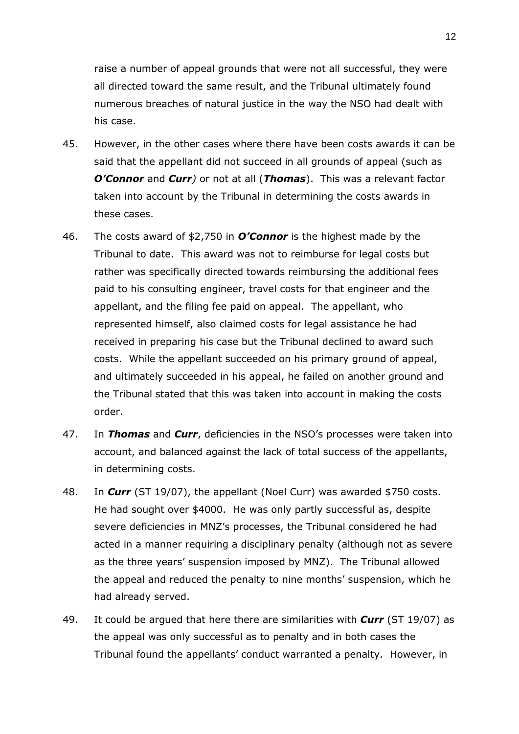raise a number of appeal grounds that were not all successful, they were all directed toward the same result, and the Tribunal ultimately found numerous breaches of natural justice in the way the NSO had dealt with his case.

- 45. However, in the other cases where there have been costs awards it can be said that the appellant did not succeed in all grounds of appeal (such as *O'Connor* and *Curr)* or not at all (*Thomas*). This was a relevant factor taken into account by the Tribunal in determining the costs awards in these cases.
- 46. The costs award of \$2,750 in *O'Connor* is the highest made by the Tribunal to date. This award was not to reimburse for legal costs but rather was specifically directed towards reimbursing the additional fees paid to his consulting engineer, travel costs for that engineer and the appellant, and the filing fee paid on appeal. The appellant, who represented himself, also claimed costs for legal assistance he had received in preparing his case but the Tribunal declined to award such costs. While the appellant succeeded on his primary ground of appeal, and ultimately succeeded in his appeal, he failed on another ground and the Tribunal stated that this was taken into account in making the costs order.
- 47. In *Thomas* and *Curr*, deficiencies in the NSO's processes were taken into account, and balanced against the lack of total success of the appellants, in determining costs.
- 48. In *Curr* (ST 19/07), the appellant (Noel Curr) was awarded \$750 costs. He had sought over \$4000. He was only partly successful as, despite severe deficiencies in MNZ's processes, the Tribunal considered he had acted in a manner requiring a disciplinary penalty (although not as severe as the three years' suspension imposed by MNZ). The Tribunal allowed the appeal and reduced the penalty to nine months' suspension, which he had already served.
- 49. It could be argued that here there are similarities with *Curr* (ST 19/07) as the appeal was only successful as to penalty and in both cases the Tribunal found the appellants' conduct warranted a penalty. However, in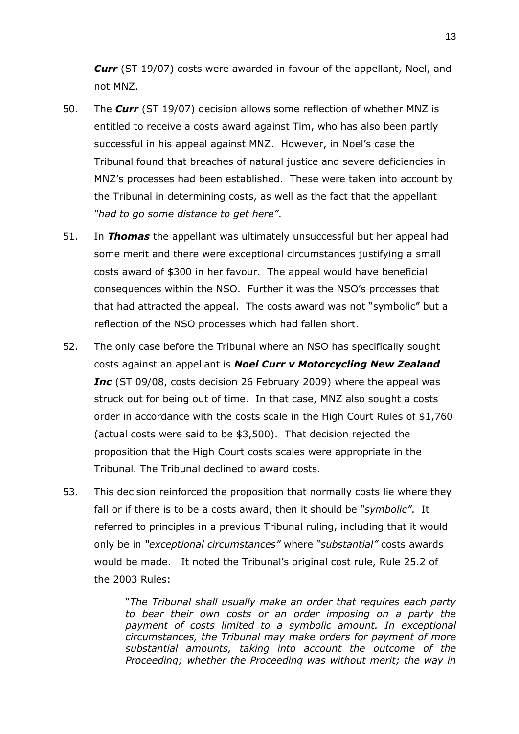**Curr** (ST 19/07) costs were awarded in favour of the appellant, Noel, and not MNZ.

- 50. The *Curr* (ST 19/07) decision allows some reflection of whether MNZ is entitled to receive a costs award against Tim, who has also been partly successful in his appeal against MNZ. However, in Noel's case the Tribunal found that breaches of natural justice and severe deficiencies in MNZ's processes had been established. These were taken into account by the Tribunal in determining costs, as well as the fact that the appellant *"had to go some distance to get here"*.
- 51. In *Thomas* the appellant was ultimately unsuccessful but her appeal had some merit and there were exceptional circumstances justifying a small costs award of \$300 in her favour. The appeal would have beneficial consequences within the NSO. Further it was the NSO's processes that that had attracted the appeal. The costs award was not "symbolic" but a reflection of the NSO processes which had fallen short.
- 52. The only case before the Tribunal where an NSO has specifically sought costs against an appellant is *Noel Curr v Motorcycling New Zealand Inc* (ST 09/08, costs decision 26 February 2009) where the appeal was struck out for being out of time. In that case, MNZ also sought a costs order in accordance with the costs scale in the High Court Rules of \$1,760 (actual costs were said to be \$3,500). That decision rejected the proposition that the High Court costs scales were appropriate in the Tribunal. The Tribunal declined to award costs.
- 53. This decision reinforced the proposition that normally costs lie where they fall or if there is to be a costs award, then it should be *"symbolic"*. It referred to principles in a previous Tribunal ruling, including that it would only be in *"exceptional circumstances"* where *"substantial"* costs awards would be made. It noted the Tribunal's original cost rule, Rule 25.2 of the 2003 Rules:

"*The Tribunal shall usually make an order that requires each party to bear their own costs or an order imposing on a party the payment of costs limited to a symbolic amount. In exceptional circumstances, the Tribunal may make orders for payment of more substantial amounts, taking into account the outcome of the Proceeding; whether the Proceeding was without merit; the way in*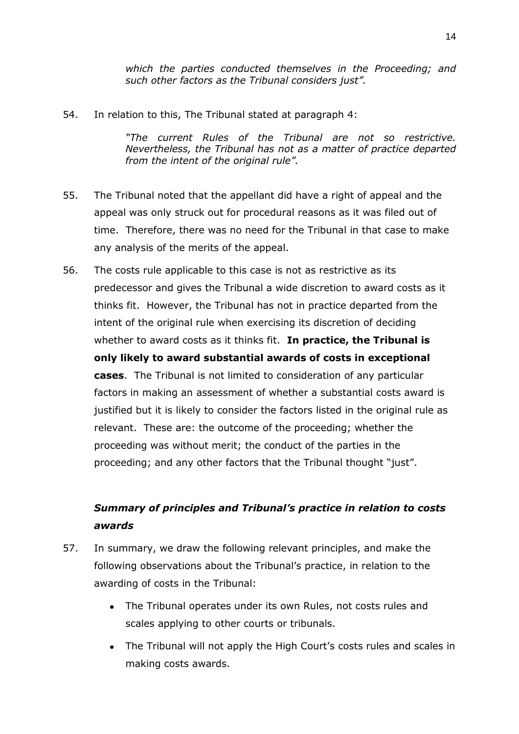*which the parties conducted themselves in the Proceeding; and such other factors as the Tribunal considers just".*

54. In relation to this, The Tribunal stated at paragraph 4:

*"The current Rules of the Tribunal are not so restrictive. Nevertheless, the Tribunal has not as a matter of practice departed from the intent of the original rule".* 

- 55. The Tribunal noted that the appellant did have a right of appeal and the appeal was only struck out for procedural reasons as it was filed out of time. Therefore, there was no need for the Tribunal in that case to make any analysis of the merits of the appeal.
- 56. The costs rule applicable to this case is not as restrictive as its predecessor and gives the Tribunal a wide discretion to award costs as it thinks fit. However, the Tribunal has not in practice departed from the intent of the original rule when exercising its discretion of deciding whether to award costs as it thinks fit. **In practice, the Tribunal is only likely to award substantial awards of costs in exceptional cases**. The Tribunal is not limited to consideration of any particular factors in making an assessment of whether a substantial costs award is justified but it is likely to consider the factors listed in the original rule as relevant. These are: the outcome of the proceeding; whether the proceeding was without merit; the conduct of the parties in the proceeding; and any other factors that the Tribunal thought "just".

## *Summary of principles and Tribunal's practice in relation to costs awards*

- 57. In summary, we draw the following relevant principles, and make the following observations about the Tribunal's practice, in relation to the awarding of costs in the Tribunal:
	- The Tribunal operates under its own Rules, not costs rules and scales applying to other courts or tribunals.
	- The Tribunal will not apply the High Court's costs rules and scales in making costs awards.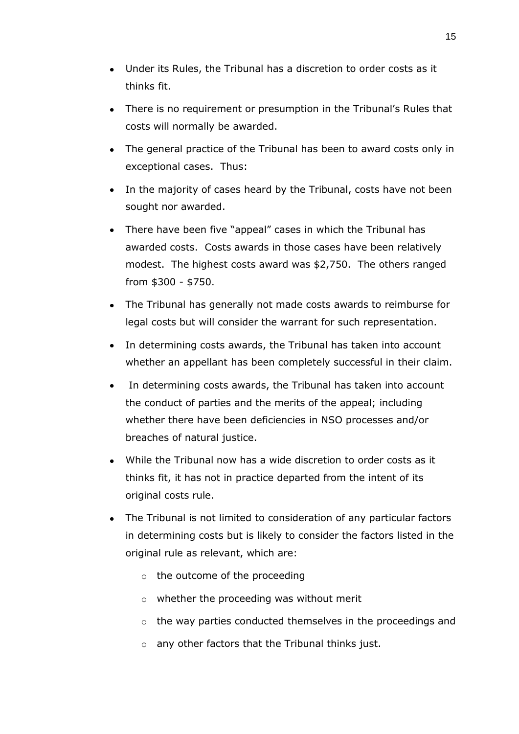- Under its Rules, the Tribunal has a discretion to order costs as it thinks fit.
- There is no requirement or presumption in the Tribunal's Rules that costs will normally be awarded.
- The general practice of the Tribunal has been to award costs only in exceptional cases. Thus:
- In the majority of cases heard by the Tribunal, costs have not been sought nor awarded.
- There have been five "appeal" cases in which the Tribunal has awarded costs. Costs awards in those cases have been relatively modest. The highest costs award was \$2,750. The others ranged from \$300 - \$750.
- The Tribunal has generally not made costs awards to reimburse for legal costs but will consider the warrant for such representation.
- In determining costs awards, the Tribunal has taken into account whether an appellant has been completely successful in their claim.
- In determining costs awards, the Tribunal has taken into account the conduct of parties and the merits of the appeal; including whether there have been deficiencies in NSO processes and/or breaches of natural justice.
- While the Tribunal now has a wide discretion to order costs as it thinks fit, it has not in practice departed from the intent of its original costs rule.
- The Tribunal is not limited to consideration of any particular factors in determining costs but is likely to consider the factors listed in the original rule as relevant, which are:
	- o the outcome of the proceeding
	- o whether the proceeding was without merit
	- o the way parties conducted themselves in the proceedings and
	- o any other factors that the Tribunal thinks just.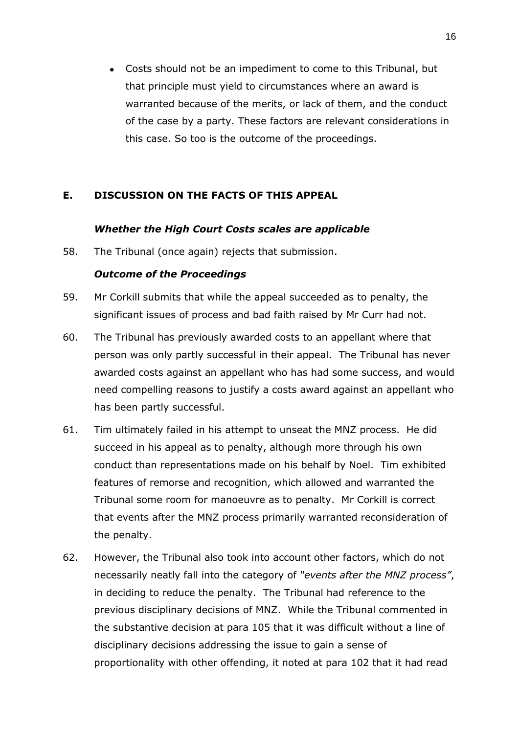Costs should not be an impediment to come to this Tribunal, but that principle must yield to circumstances where an award is warranted because of the merits, or lack of them, and the conduct of the case by a party. These factors are relevant considerations in this case. So too is the outcome of the proceedings.

## <span id="page-15-0"></span>**E. DISCUSSION ON THE FACTS OF THIS APPEAL**

#### *Whether the High Court Costs scales are applicable*

58. The Tribunal (once again) rejects that submission.

#### *Outcome of the Proceedings*

- 59. Mr Corkill submits that while the appeal succeeded as to penalty, the significant issues of process and bad faith raised by Mr Curr had not.
- 60. The Tribunal has previously awarded costs to an appellant where that person was only partly successful in their appeal. The Tribunal has never awarded costs against an appellant who has had some success, and would need compelling reasons to justify a costs award against an appellant who has been partly successful.
- 61. Tim ultimately failed in his attempt to unseat the MNZ process. He did succeed in his appeal as to penalty, although more through his own conduct than representations made on his behalf by Noel. Tim exhibited features of remorse and recognition, which allowed and warranted the Tribunal some room for manoeuvre as to penalty. Mr Corkill is correct that events after the MNZ process primarily warranted reconsideration of the penalty.
- 62. However, the Tribunal also took into account other factors, which do not necessarily neatly fall into the category of *"events after the MNZ process"*, in deciding to reduce the penalty. The Tribunal had reference to the previous disciplinary decisions of MNZ. While the Tribunal commented in the substantive decision at para 105 that it was difficult without a line of disciplinary decisions addressing the issue to gain a sense of proportionality with other offending, it noted at para 102 that it had read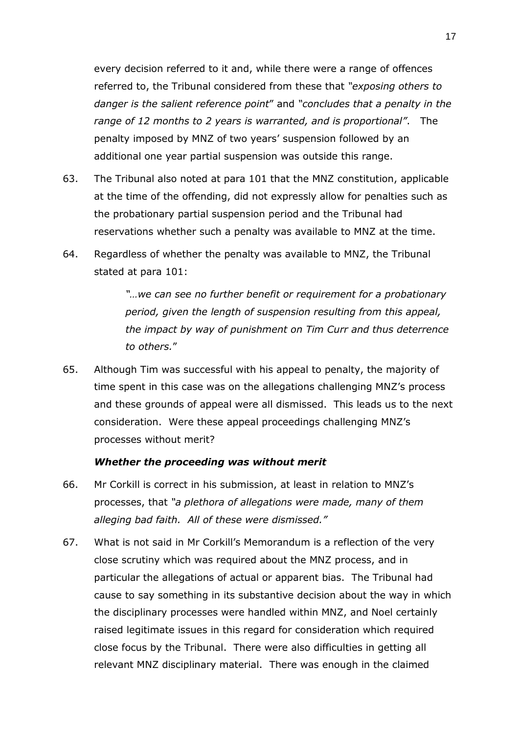every decision referred to it and, while there were a range of offences referred to, the Tribunal considered from these that *"exposing others to danger is the salient reference point*" and *"concludes that a penalty in the range of 12 months to 2 years is warranted, and is proportional"*. The penalty imposed by MNZ of two years' suspension followed by an additional one year partial suspension was outside this range.

- 63. The Tribunal also noted at para 101 that the MNZ constitution, applicable at the time of the offending, did not expressly allow for penalties such as the probationary partial suspension period and the Tribunal had reservations whether such a penalty was available to MNZ at the time.
- 64. Regardless of whether the penalty was available to MNZ, the Tribunal stated at para 101:

*"…we can see no further benefit or requirement for a probationary period, given the length of suspension resulting from this appeal, the impact by way of punishment on Tim Curr and thus deterrence to others.*"

65. Although Tim was successful with his appeal to penalty, the majority of time spent in this case was on the allegations challenging MNZ's process and these grounds of appeal were all dismissed. This leads us to the next consideration. Were these appeal proceedings challenging MNZ's processes without merit?

#### *Whether the proceeding was without merit*

- 66. Mr Corkill is correct in his submission, at least in relation to MNZ's processes, that *"a plethora of allegations were made, many of them alleging bad faith. All of these were dismissed."*
- 67. What is not said in Mr Corkill's Memorandum is a reflection of the very close scrutiny which was required about the MNZ process, and in particular the allegations of actual or apparent bias. The Tribunal had cause to say something in its substantive decision about the way in which the disciplinary processes were handled within MNZ, and Noel certainly raised legitimate issues in this regard for consideration which required close focus by the Tribunal. There were also difficulties in getting all relevant MNZ disciplinary material. There was enough in the claimed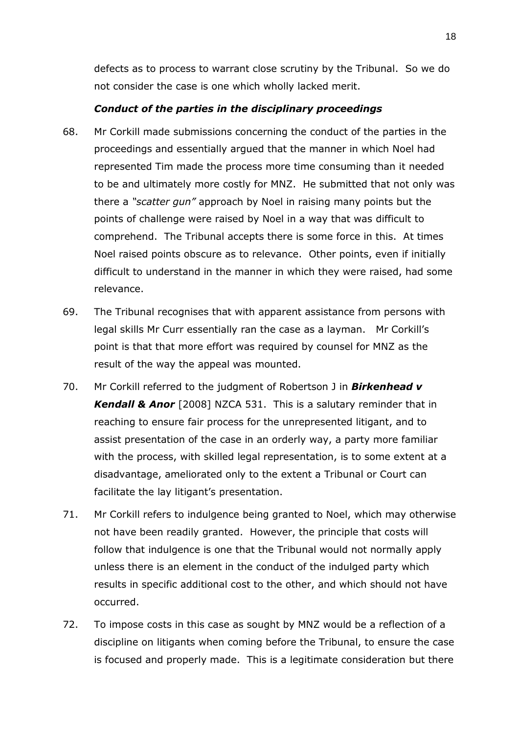defects as to process to warrant close scrutiny by the Tribunal. So we do not consider the case is one which wholly lacked merit.

## *Conduct of the parties in the disciplinary proceedings*

- 68. Mr Corkill made submissions concerning the conduct of the parties in the proceedings and essentially argued that the manner in which Noel had represented Tim made the process more time consuming than it needed to be and ultimately more costly for MNZ. He submitted that not only was there a *"scatter gun"* approach by Noel in raising many points but the points of challenge were raised by Noel in a way that was difficult to comprehend. The Tribunal accepts there is some force in this. At times Noel raised points obscure as to relevance. Other points, even if initially difficult to understand in the manner in which they were raised, had some relevance.
- 69. The Tribunal recognises that with apparent assistance from persons with legal skills Mr Curr essentially ran the case as a layman. Mr Corkill's point is that that more effort was required by counsel for MNZ as the result of the way the appeal was mounted.
- 70. Mr Corkill referred to the judgment of Robertson J in *Birkenhead v Kendall & Anor* [2008] NZCA 531. This is a salutary reminder that in reaching to ensure fair process for the unrepresented litigant, and to assist presentation of the case in an orderly way, a party more familiar with the process, with skilled legal representation, is to some extent at a disadvantage, ameliorated only to the extent a Tribunal or Court can facilitate the lay litigant's presentation.
- 71. Mr Corkill refers to indulgence being granted to Noel, which may otherwise not have been readily granted. However, the principle that costs will follow that indulgence is one that the Tribunal would not normally apply unless there is an element in the conduct of the indulged party which results in specific additional cost to the other, and which should not have occurred.
- 72. To impose costs in this case as sought by MNZ would be a reflection of a discipline on litigants when coming before the Tribunal, to ensure the case is focused and properly made. This is a legitimate consideration but there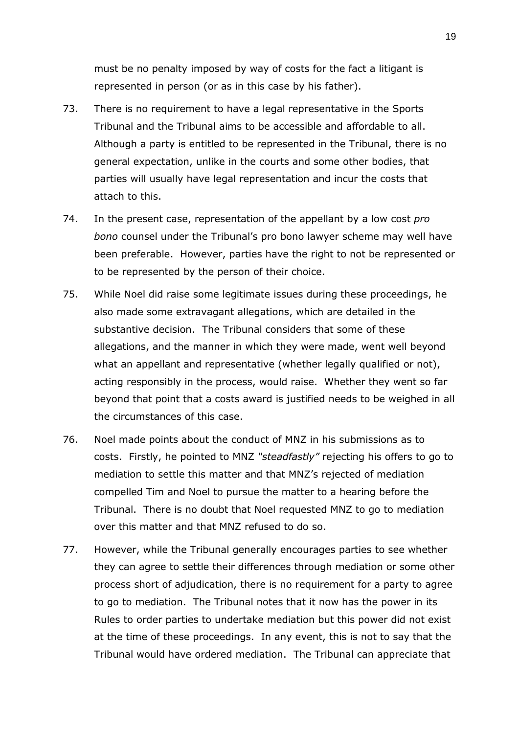must be no penalty imposed by way of costs for the fact a litigant is represented in person (or as in this case by his father).

- 73. There is no requirement to have a legal representative in the Sports Tribunal and the Tribunal aims to be accessible and affordable to all. Although a party is entitled to be represented in the Tribunal, there is no general expectation, unlike in the courts and some other bodies, that parties will usually have legal representation and incur the costs that attach to this.
- 74. In the present case, representation of the appellant by a low cost *pro bono* counsel under the Tribunal's pro bono lawyer scheme may well have been preferable. However, parties have the right to not be represented or to be represented by the person of their choice.
- 75. While Noel did raise some legitimate issues during these proceedings, he also made some extravagant allegations, which are detailed in the substantive decision. The Tribunal considers that some of these allegations, and the manner in which they were made, went well beyond what an appellant and representative (whether legally qualified or not), acting responsibly in the process, would raise. Whether they went so far beyond that point that a costs award is justified needs to be weighed in all the circumstances of this case.
- 76. Noel made points about the conduct of MNZ in his submissions as to costs. Firstly, he pointed to MNZ *"steadfastly"* rejecting his offers to go to mediation to settle this matter and that MNZ's rejected of mediation compelled Tim and Noel to pursue the matter to a hearing before the Tribunal. There is no doubt that Noel requested MNZ to go to mediation over this matter and that MNZ refused to do so.
- 77. However, while the Tribunal generally encourages parties to see whether they can agree to settle their differences through mediation or some other process short of adjudication, there is no requirement for a party to agree to go to mediation. The Tribunal notes that it now has the power in its Rules to order parties to undertake mediation but this power did not exist at the time of these proceedings. In any event, this is not to say that the Tribunal would have ordered mediation. The Tribunal can appreciate that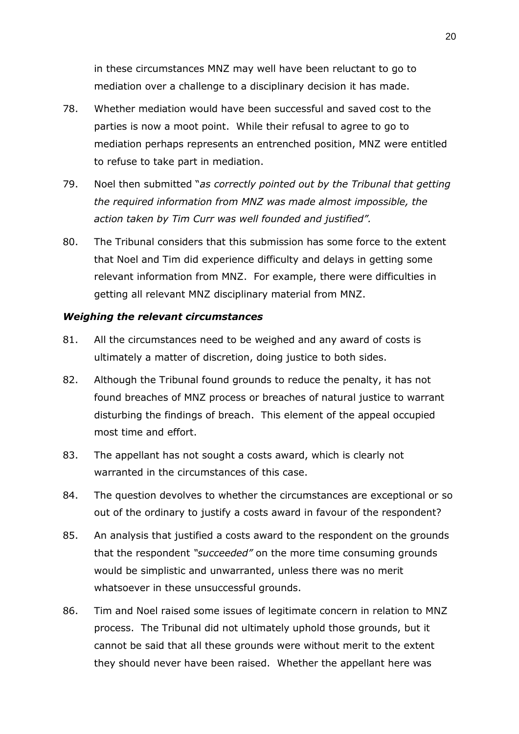in these circumstances MNZ may well have been reluctant to go to mediation over a challenge to a disciplinary decision it has made.

- 78. Whether mediation would have been successful and saved cost to the parties is now a moot point. While their refusal to agree to go to mediation perhaps represents an entrenched position, MNZ were entitled to refuse to take part in mediation.
- 79. Noel then submitted "*as correctly pointed out by the Tribunal that getting the required information from MNZ was made almost impossible, the action taken by Tim Curr was well founded and justified".*
- 80. The Tribunal considers that this submission has some force to the extent that Noel and Tim did experience difficulty and delays in getting some relevant information from MNZ. For example, there were difficulties in getting all relevant MNZ disciplinary material from MNZ.

## *Weighing the relevant circumstances*

- 81. All the circumstances need to be weighed and any award of costs is ultimately a matter of discretion, doing justice to both sides.
- 82. Although the Tribunal found grounds to reduce the penalty, it has not found breaches of MNZ process or breaches of natural justice to warrant disturbing the findings of breach. This element of the appeal occupied most time and effort.
- 83. The appellant has not sought a costs award, which is clearly not warranted in the circumstances of this case.
- 84. The question devolves to whether the circumstances are exceptional or so out of the ordinary to justify a costs award in favour of the respondent?
- 85. An analysis that justified a costs award to the respondent on the grounds that the respondent *"succeeded"* on the more time consuming grounds would be simplistic and unwarranted, unless there was no merit whatsoever in these unsuccessful grounds.
- 86. Tim and Noel raised some issues of legitimate concern in relation to MNZ process. The Tribunal did not ultimately uphold those grounds, but it cannot be said that all these grounds were without merit to the extent they should never have been raised. Whether the appellant here was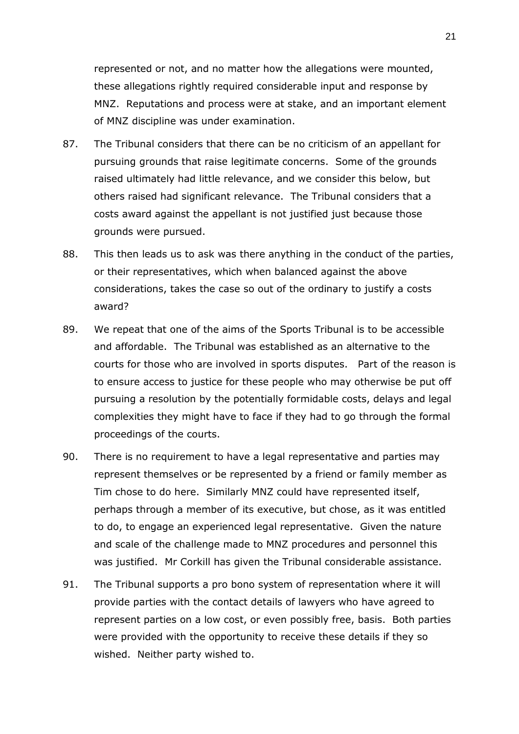represented or not, and no matter how the allegations were mounted, these allegations rightly required considerable input and response by MNZ. Reputations and process were at stake, and an important element of MNZ discipline was under examination.

- 87. The Tribunal considers that there can be no criticism of an appellant for pursuing grounds that raise legitimate concerns. Some of the grounds raised ultimately had little relevance, and we consider this below, but others raised had significant relevance. The Tribunal considers that a costs award against the appellant is not justified just because those grounds were pursued.
- 88. This then leads us to ask was there anything in the conduct of the parties, or their representatives, which when balanced against the above considerations, takes the case so out of the ordinary to justify a costs award?
- 89. We repeat that one of the aims of the Sports Tribunal is to be accessible and affordable. The Tribunal was established as an alternative to the courts for those who are involved in sports disputes. Part of the reason is to ensure access to justice for these people who may otherwise be put off pursuing a resolution by the potentially formidable costs, delays and legal complexities they might have to face if they had to go through the formal proceedings of the courts.
- 90. There is no requirement to have a legal representative and parties may represent themselves or be represented by a friend or family member as Tim chose to do here. Similarly MNZ could have represented itself, perhaps through a member of its executive, but chose, as it was entitled to do, to engage an experienced legal representative. Given the nature and scale of the challenge made to MNZ procedures and personnel this was justified. Mr Corkill has given the Tribunal considerable assistance.
- 91. The Tribunal supports a pro bono system of representation where it will provide parties with the contact details of lawyers who have agreed to represent parties on a low cost, or even possibly free, basis. Both parties were provided with the opportunity to receive these details if they so wished. Neither party wished to.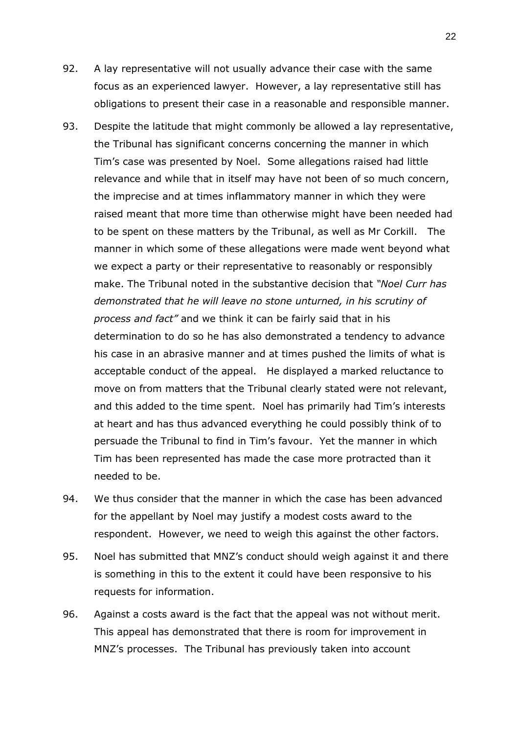- 92. A lay representative will not usually advance their case with the same focus as an experienced lawyer. However, a lay representative still has obligations to present their case in a reasonable and responsible manner.
- 93. Despite the latitude that might commonly be allowed a lay representative, the Tribunal has significant concerns concerning the manner in which Tim's case was presented by Noel. Some allegations raised had little relevance and while that in itself may have not been of so much concern, the imprecise and at times inflammatory manner in which they were raised meant that more time than otherwise might have been needed had to be spent on these matters by the Tribunal, as well as Mr Corkill. The manner in which some of these allegations were made went beyond what we expect a party or their representative to reasonably or responsibly make. The Tribunal noted in the substantive decision that *"Noel Curr has demonstrated that he will leave no stone unturned, in his scrutiny of process and fact"* and we think it can be fairly said that in his determination to do so he has also demonstrated a tendency to advance his case in an abrasive manner and at times pushed the limits of what is acceptable conduct of the appeal. He displayed a marked reluctance to move on from matters that the Tribunal clearly stated were not relevant, and this added to the time spent. Noel has primarily had Tim's interests at heart and has thus advanced everything he could possibly think of to persuade the Tribunal to find in Tim's favour. Yet the manner in which Tim has been represented has made the case more protracted than it needed to be.
- 94. We thus consider that the manner in which the case has been advanced for the appellant by Noel may justify a modest costs award to the respondent. However, we need to weigh this against the other factors.
- 95. Noel has submitted that MNZ's conduct should weigh against it and there is something in this to the extent it could have been responsive to his requests for information.
- 96. Against a costs award is the fact that the appeal was not without merit. This appeal has demonstrated that there is room for improvement in MNZ's processes. The Tribunal has previously taken into account